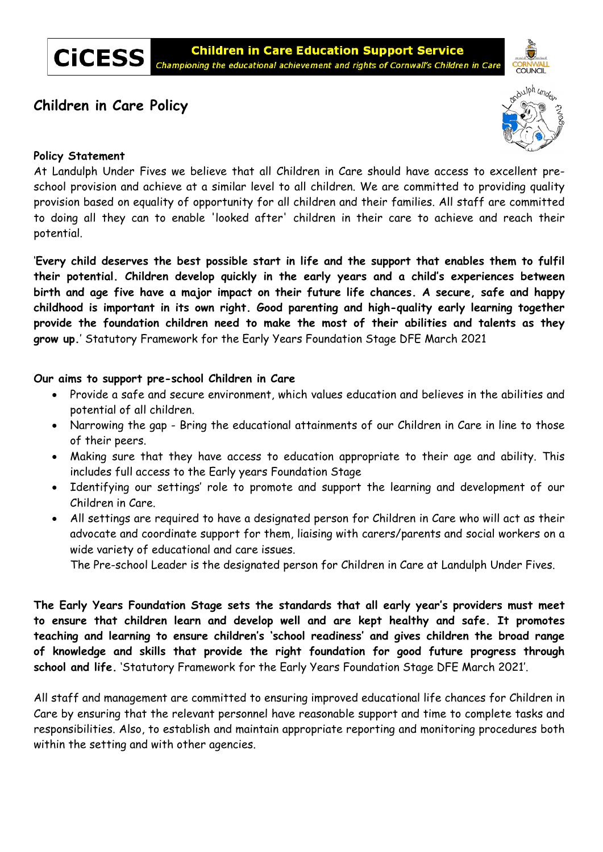**CiCESS** 

# **Children in Care Policy**



### **Policy Statement**

At Landulph Under Fives we believe that all Children in Care should have access to excellent preschool provision and achieve at a similar level to all children. We are committed to providing quality provision based on equality of opportunity for all children and their families. All staff are committed to doing all they can to enable 'looked after' children in their care to achieve and reach their potential.

'**Every child deserves the best possible start in life and the support that enables them to fulfil their potential. Children develop quickly in the early years and a child's experiences between birth and age five have a major impact on their future life chances. A secure, safe and happy childhood is important in its own right. Good parenting and high-quality early learning together provide the foundation children need to make the most of their abilities and talents as they grow up.**' Statutory Framework for the Early Years Foundation Stage DFE March 2021

**Our aims to support pre-school Children in Care** 

- Provide a safe and secure environment, which values education and believes in the abilities and potential of all children.
- Narrowing the gap Bring the educational attainments of our Children in Care in line to those of their peers.
- Making sure that they have access to education appropriate to their age and ability. This includes full access to the Early years Foundation Stage
- Identifying our settings' role to promote and support the learning and development of our Children in Care.
- All settings are required to have a designated person for Children in Care who will act as their advocate and coordinate support for them, liaising with carers/parents and social workers on a wide variety of educational and care issues.

The Pre-school Leader is the designated person for Children in Care at Landulph Under Fives.

**The Early Years Foundation Stage sets the standards that all early year's providers must meet to ensure that children learn and develop well and are kept healthy and safe. It promotes teaching and learning to ensure children's 'school readiness' and gives children the broad range of knowledge and skills that provide the right foundation for good future progress through school and life.** 'Statutory Framework for the Early Years Foundation Stage DFE March 2021'.

All staff and management are committed to ensuring improved educational life chances for Children in Care by ensuring that the relevant personnel have reasonable support and time to complete tasks and responsibilities. Also, to establish and maintain appropriate reporting and monitoring procedures both within the setting and with other agencies.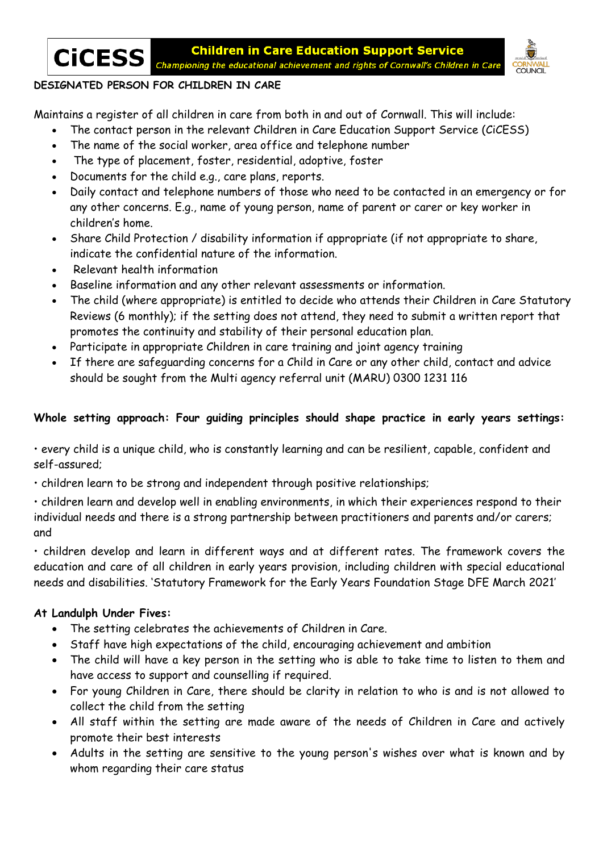

## **DESIGNATED PERSON FOR CHILDREN IN CARE**

Maintains a register of all children in care from both in and out of Cornwall. This will include:

- The contact person in the relevant Children in Care Education Support Service (CiCESS)
- The name of the social worker, area office and telephone number
- The type of placement, foster, residential, adoptive, foster
- Documents for the child e.g., care plans, reports.
- Daily contact and telephone numbers of those who need to be contacted in an emergency or for any other concerns. E.g., name of young person, name of parent or carer or key worker in children's home.
- Share Child Protection / disability information if appropriate (if not appropriate to share, indicate the confidential nature of the information.
- Relevant health information
- Baseline information and any other relevant assessments or information.
- The child (where appropriate) is entitled to decide who attends their Children in Care Statutory Reviews (6 monthly); if the setting does not attend, they need to submit a written report that promotes the continuity and stability of their personal education plan.
- Participate in appropriate Children in care training and joint agency training
- If there are safeguarding concerns for a Child in Care or any other child, contact and advice should be sought from the Multi agency referral unit (MARU) 0300 1231 116

## **Whole setting approach: Four guiding principles should shape practice in early years settings:**

• every child is a unique child, who is constantly learning and can be resilient, capable, confident and self-assured;

• children learn to be strong and independent through positive relationships;

• children learn and develop well in enabling environments, in which their experiences respond to their individual needs and there is a strong partnership between practitioners and parents and/or carers; and

• children develop and learn in different ways and at different rates. The framework covers the education and care of all children in early years provision, including children with special educational needs and disabilities. 'Statutory Framework for the Early Years Foundation Stage DFE March 2021'

## **At Landulph Under Fives:**

- The setting celebrates the achievements of Children in Care.
- Staff have high expectations of the child, encouraging achievement and ambition
- The child will have a key person in the setting who is able to take time to listen to them and have access to support and counselling if required.
- For young Children in Care, there should be clarity in relation to who is and is not allowed to collect the child from the setting
- All staff within the setting are made aware of the needs of Children in Care and actively promote their best interests
- Adults in the setting are sensitive to the young person's wishes over what is known and by whom regarding their care status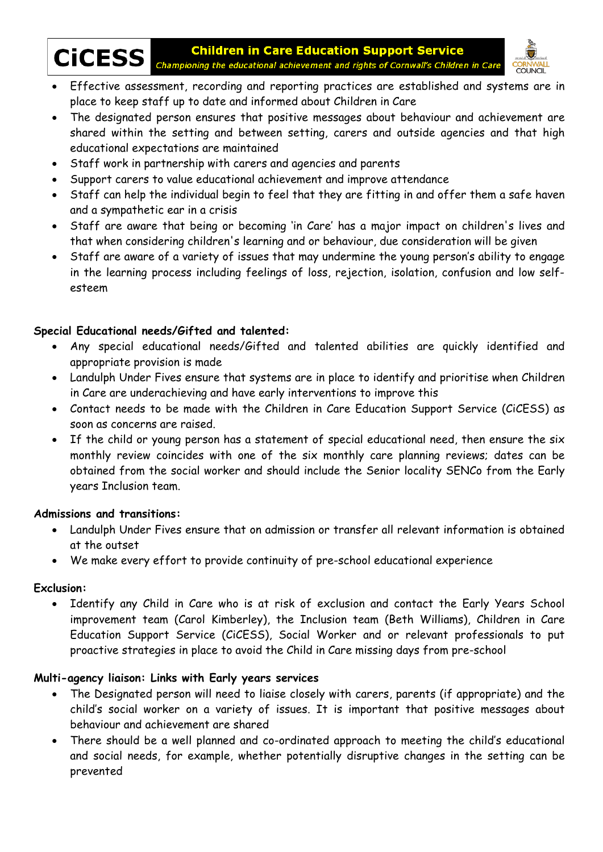

CICESS Championing the educational achievement and rights of Cornwall's Children in Care CORNWALL<br>• Effective assessment, recording and reporting practices are established and systems are in **Children in Care Education Support Service** 



- place to keep staff up to date and informed about Children in Care
- The designated person ensures that positive messages about behaviour and achievement are shared within the setting and between setting, carers and outside agencies and that high educational expectations are maintained
- Staff work in partnership with carers and agencies and parents
- Support carers to value educational achievement and improve attendance
- Staff can help the individual begin to feel that they are fitting in and offer them a safe haven and a sympathetic ear in a crisis
- Staff are aware that being or becoming 'in Care' has a major impact on children's lives and that when considering children's learning and or behaviour, due consideration will be given
- Staff are aware of a variety of issues that may undermine the young person's ability to engage in the learning process including feelings of loss, rejection, isolation, confusion and low selfesteem

### **Special Educational needs/Gifted and talented:**

- Any special educational needs/Gifted and talented abilities are quickly identified and appropriate provision is made
- Landulph Under Fives ensure that systems are in place to identify and prioritise when Children in Care are underachieving and have early interventions to improve this
- Contact needs to be made with the Children in Care Education Support Service (CiCESS) as soon as concerns are raised.
- If the child or young person has a statement of special educational need, then ensure the six monthly review coincides with one of the six monthly care planning reviews; dates can be obtained from the social worker and should include the Senior locality SENCo from the Early years Inclusion team.

### **Admissions and transitions:**

- Landulph Under Fives ensure that on admission or transfer all relevant information is obtained at the outset
- We make every effort to provide continuity of pre-school educational experience

#### **Exclusion:**

 Identify any Child in Care who is at risk of exclusion and contact the Early Years School improvement team (Carol Kimberley), the Inclusion team (Beth Williams), Children in Care Education Support Service (CiCESS), Social Worker and or relevant professionals to put proactive strategies in place to avoid the Child in Care missing days from pre-school

### **Multi-agency liaison: Links with Early years services**

- The Designated person will need to liaise closely with carers, parents (if appropriate) and the child's social worker on a variety of issues. It is important that positive messages about behaviour and achievement are shared
- There should be a well planned and co-ordinated approach to meeting the child's educational and social needs, for example, whether potentially disruptive changes in the setting can be prevented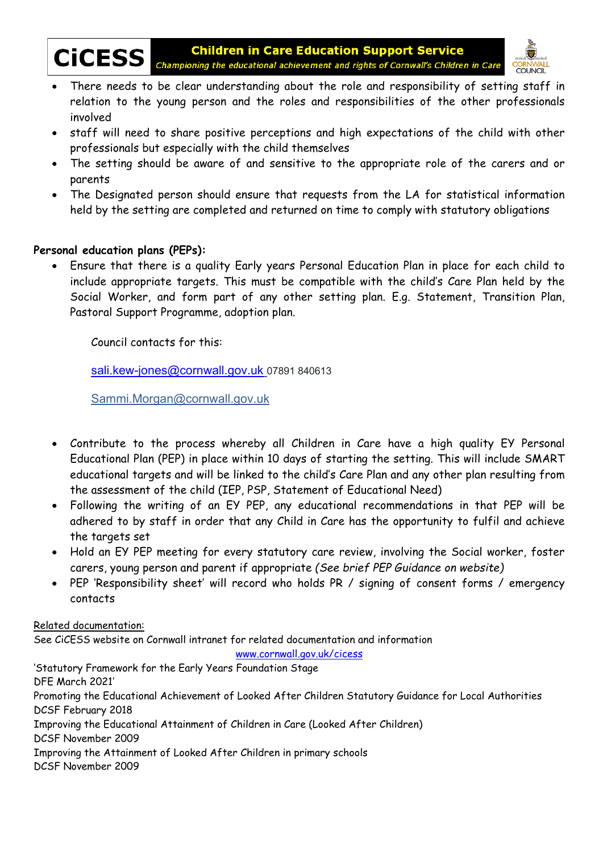



- There needs to be clear understanding about the role and responsibility of setting staff in relation to the young person and the roles and responsibilities of the other professionals involved
- staff will need to share positive perceptions and high expectations of the child with other professionals but especially with the child themselves
- The setting should be aware of and sensitive to the appropriate role of the carers and or parents
- The Designated person should ensure that requests from the LA for statistical information held by the setting are completed and returned on time to comply with statutory obligations

## **Personal education plans (PEPs):**

 Ensure that there is a quality Early years Personal Education Plan in place for each child to include appropriate targets. This must be compatible with the child's Care Plan held by the Social Worker, and form part of any other setting plan. E.g. Statement, Transition Plan, Pastoral Support Programme, adoption plan.

Council contacts for this:

sali.kew-jones@cornwall.gov.uk 07891 840613

Sammi.Morgan@cornwall.gov.uk

- Contribute to the process whereby all Children in Care have a high quality EY Personal Educational Plan (PEP) in place within 10 days of starting the setting. This will include SMART educational targets and will be linked to the child's Care Plan and any other plan resulting from the assessment of the child (IEP, PSP, Statement of Educational Need)
- Following the writing of an EY PEP, any educational recommendations in that PEP will be adhered to by staff in order that any Child in Care has the opportunity to fulfil and achieve the targets set
- Hold an EY PEP meeting for every statutory care review, involving the Social worker, foster carers, young person and parent if appropriate *(See brief PEP Guidance on website)*
- PEP 'Responsibility sheet' will record who holds PR / signing of consent forms / emergency contacts

Related documentation:

See CiCESS website on Cornwall intranet for related documentation and information

www.cornwall.gov.uk/cicess

'Statutory Framework for the Early Years Foundation Stage DFE March 2021' Promoting the Educational Achievement of Looked After Children Statutory Guidance for Local Authorities DCSF February 2018 Improving the Educational Attainment of Children in Care (Looked After Children) DCSF November 2009 Improving the Attainment of Looked After Children in primary schools DCSF November 2009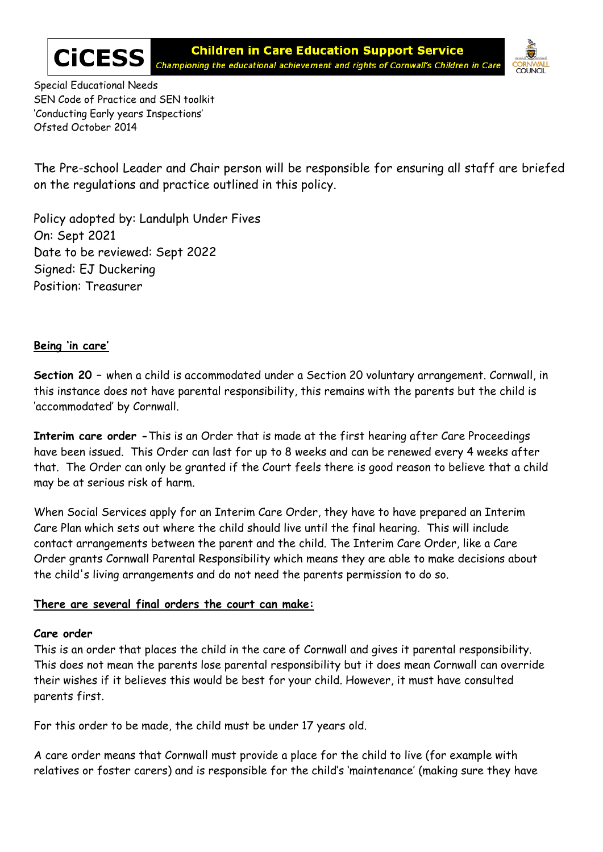



Special Educational Needs SEN Code of Practice and SEN toolkit 'Conducting Early years Inspections' Ofsted October 2014

The Pre-school Leader and Chair person will be responsible for ensuring all staff are briefed on the regulations and practice outlined in this policy.

Policy adopted by: Landulph Under Fives On: Sept 2021 Date to be reviewed: Sept 2022 Signed: EJ Duckering Position: Treasurer

### **Being 'in care'**

**Section 20 –** when a child is accommodated under a Section 20 voluntary arrangement. Cornwall, in this instance does not have parental responsibility, this remains with the parents but the child is 'accommodated' by Cornwall.

**Interim care order -**This is an Order that is made at the first hearing after Care Proceedings have been issued. This Order can last for up to 8 weeks and can be renewed every 4 weeks after that. The Order can only be granted if the Court feels there is good reason to believe that a child may be at serious risk of harm.

When Social Services apply for an Interim Care Order, they have to have prepared an Interim Care Plan which sets out where the child should live until the final hearing. This will include contact arrangements between the parent and the child. The Interim Care Order, like a Care Order grants Cornwall Parental Responsibility which means they are able to make decisions about the child's living arrangements and do not need the parents permission to do so.

### **There are several final orders the court can make:**

#### **Care order**

This is an order that places the child in the care of Cornwall and gives it parental responsibility. This does not mean the parents lose parental responsibility but it does mean Cornwall can override their wishes if it believes this would be best for your child. However, it must have consulted parents first.

For this order to be made, the child must be under 17 years old.

A care order means that Cornwall must provide a place for the child to live (for example with relatives or foster carers) and is responsible for the child's 'maintenance' (making sure they have